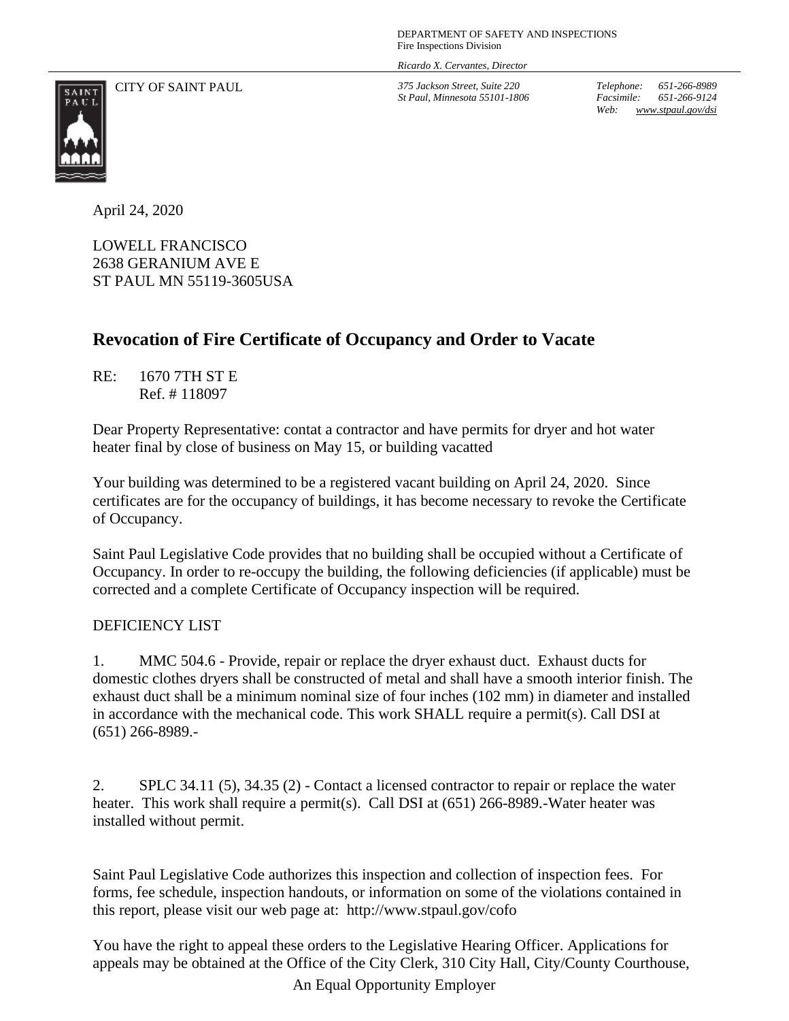*Ricardo X. Cervantes, Director*

CITY OF SAINT PAUL *375 Jackson Street, Suite 220*

*St Paul, Minnesota 55101-1806*

*Telephone: 651-266-8989 Facsimile: 651-266-9124 Web: www.stpaul.gov/dsi*



April 24, 2020

LOWELL FRANCISCO 2638 GERANIUM AVE E ST PAUL MN 55119-3605USA

## **Revocation of Fire Certificate of Occupancy and Order to Vacate**

RE: 1670 7TH ST E Ref. # 118097

Dear Property Representative: contat a contractor and have permits for dryer and hot water heater final by close of business on May 15, or building vacatted

Your building was determined to be a registered vacant building on April 24, 2020. Since certificates are for the occupancy of buildings, it has become necessary to revoke the Certificate of Occupancy.

Saint Paul Legislative Code provides that no building shall be occupied without a Certificate of Occupancy. In order to re-occupy the building, the following deficiencies (if applicable) must be corrected and a complete Certificate of Occupancy inspection will be required.

## DEFICIENCY LIST

1. MMC 504.6 - Provide, repair or replace the dryer exhaust duct. Exhaust ducts for domestic clothes dryers shall be constructed of metal and shall have a smooth interior finish. The exhaust duct shall be a minimum nominal size of four inches (102 mm) in diameter and installed in accordance with the mechanical code. This work SHALL require a permit(s). Call DSI at (651) 266-8989.-

2. SPLC 34.11 (5), 34.35 (2) - Contact a licensed contractor to repair or replace the water heater. This work shall require a permit(s). Call DSI at (651) 266-8989.-Water heater was installed without permit.

Saint Paul Legislative Code authorizes this inspection and collection of inspection fees. For forms, fee schedule, inspection handouts, or information on some of the violations contained in this report, please visit our web page at: http://www.stpaul.gov/cofo

An Equal Opportunity Employer You have the right to appeal these orders to the Legislative Hearing Officer. Applications for appeals may be obtained at the Office of the City Clerk, 310 City Hall, City/County Courthouse,